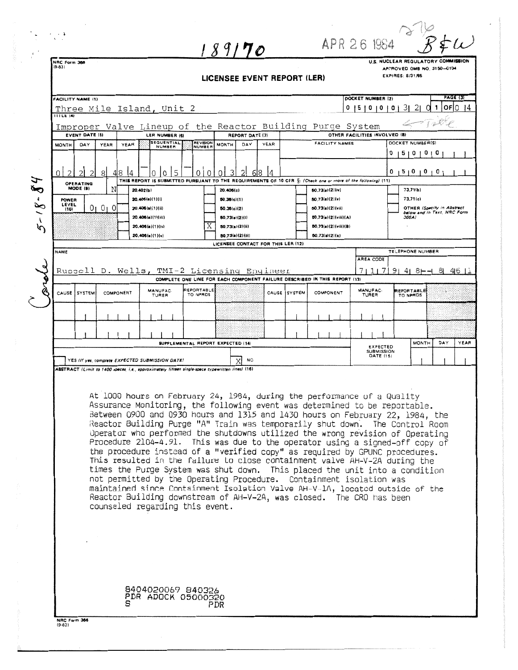|                                                                                                                                                    |                                                                                                                                                      | $\cdot$ $\cdot$ $\cdot$                                                                                                                                             |                       |              |                                                                                                 |                      | 189170                                                                     |                |              |                                          | APR 26 1984                                         |                                                                                                                                                               |  |  |  |  |
|----------------------------------------------------------------------------------------------------------------------------------------------------|------------------------------------------------------------------------------------------------------------------------------------------------------|---------------------------------------------------------------------------------------------------------------------------------------------------------------------|-----------------------|--------------|-------------------------------------------------------------------------------------------------|----------------------|----------------------------------------------------------------------------|----------------|--------------|------------------------------------------|-----------------------------------------------------|---------------------------------------------------------------------------------------------------------------------------------------------------------------|--|--|--|--|
|                                                                                                                                                    |                                                                                                                                                      | NRC Form 366<br>$(9-8.3)$                                                                                                                                           |                       |              |                                                                                                 |                      |                                                                            |                |              |                                          |                                                     | U.S. NUCLEAR REGULATORY COMMISSION                                                                                                                            |  |  |  |  |
|                                                                                                                                                    |                                                                                                                                                      | APPROVED OMB NO. 3150-0104<br>EXPIRES: 8/31/85<br>LICENSEE EVENT REPORT (LER)                                                                                       |                       |              |                                                                                                 |                      |                                                                            |                |              |                                          |                                                     |                                                                                                                                                               |  |  |  |  |
|                                                                                                                                                    |                                                                                                                                                      | <b>PAGE (3)</b><br>DOCKET NUMBER (2)                                                                                                                                |                       |              |                                                                                                 |                      |                                                                            |                |              |                                          |                                                     |                                                                                                                                                               |  |  |  |  |
|                                                                                                                                                    |                                                                                                                                                      | FACILITY NAME (1)<br>Three Mile Island, Unit 2<br>0                                                                                                                 |                       |              |                                                                                                 |                      |                                                                            |                |              |                                          | OFIN.<br>31<br>21<br>14<br>15101010<br>-1<br>$\cup$ |                                                                                                                                                               |  |  |  |  |
|                                                                                                                                                    |                                                                                                                                                      | IIILE(4)                                                                                                                                                            |                       |              |                                                                                                 |                      | Improper Valve Lineup of the Reactor Building Purge System                 |                |              |                                          |                                                     |                                                                                                                                                               |  |  |  |  |
|                                                                                                                                                    |                                                                                                                                                      |                                                                                                                                                                     | <b>EVENT DATE (6)</b> |              | LER NUMBER (6)<br><b>SEQUENTIAL</b>                                                             | <b>REVISION</b>      | <b>REPORT DATE (7)</b>                                                     |                |              | <b>FACILITY NAMES</b>                    | OTHER FACILITIES INVOLVED (8)                       | DOCKET NUMBER(S)                                                                                                                                              |  |  |  |  |
|                                                                                                                                                    |                                                                                                                                                      | <b>MONTH</b>                                                                                                                                                        | DAY                   | YEAR<br>YEAR | NUMBER                                                                                          | NUMBER               | DAY<br><b>MONTH</b>                                                        | YEAR           |              |                                          |                                                     | 0<br>5101<br>0 <sub>1</sub><br>O                                                                                                                              |  |  |  |  |
|                                                                                                                                                    |                                                                                                                                                      | $\overline{2}$<br>$\Omega$                                                                                                                                          | $\mathcal{P}$         | 48<br>8<br>4 | 5<br>$\Omega$<br>0                                                                              | $\Omega$<br>$\Omega$ | 3<br>2<br><sup>n</sup>                                                     | $\overline{4}$ |              |                                          |                                                     | $0 + 5 + 0 + 0 + 0$                                                                                                                                           |  |  |  |  |
|                                                                                                                                                    |                                                                                                                                                      | THIS REPORT IS SUBMITTED PURSUANT TO THE REQUIREMENTS OF 10 CFR S: (Check one or more of the following) (11)<br>OPERATING<br>MODE (9)<br>Ν<br>73.71(b)<br>20.402(b) |                       |              |                                                                                                 |                      |                                                                            |                |              |                                          |                                                     |                                                                                                                                                               |  |  |  |  |
|                                                                                                                                                    | $\sum_{i=1}^{n}$<br>$\pmb{\mathfrak{e}}$                                                                                                             | POWER                                                                                                                                                               |                       |              | 20.406(n)(1)(1)                                                                                 |                      | 20.406(c)<br>50.36(c)(1)                                                   |                |              | 50.73(a)(2)(iv)<br>50.73(a)(2)(v)        |                                                     | 73.71(c)                                                                                                                                                      |  |  |  |  |
|                                                                                                                                                    | g                                                                                                                                                    | LEVEL<br>(10)                                                                                                                                                       |                       | 01010        | 20.405(a)(1)(ii)<br>20.406(a)(1)(iii)                                                           |                      | 50.38(c)(2)<br>50.73(n)(2)(i)                                              |                |              | 50.73(a)(2)(vii)<br>50.73(a)(2)(viii)(A) |                                                     | OTHER (Specify in Abstract<br>below and in Text. NRC Form<br>366A)                                                                                            |  |  |  |  |
|                                                                                                                                                    | $\mathbf{A}$<br>$\mathcal{P}$                                                                                                                        |                                                                                                                                                                     |                       |              | 20.406(a)(1)(iv)                                                                                | Χ                    | 50.73(a)(2)(ii)                                                            |                |              | 50.73(a)(2)(viii)(B)                     |                                                     |                                                                                                                                                               |  |  |  |  |
|                                                                                                                                                    |                                                                                                                                                      | 20.405(a)(1)(v)<br>50.73(a)(2)(x)<br>50.73(a)(2)(iii)<br>LICENSEE CONTACT FOR THIS LER (12)                                                                         |                       |              |                                                                                                 |                      |                                                                            |                |              |                                          |                                                     |                                                                                                                                                               |  |  |  |  |
|                                                                                                                                                    |                                                                                                                                                      | NAME                                                                                                                                                                |                       |              |                                                                                                 |                      |                                                                            |                |              |                                          | TELEPHONE NUMBER<br>AREA CODE                       |                                                                                                                                                               |  |  |  |  |
|                                                                                                                                                    |                                                                                                                                                      |                                                                                                                                                                     |                       |              |                                                                                                 |                      | Russell D. Wells, TMI-2 Licensing Engineer                                 |                |              |                                          | 71117                                               | 91<br>41<br>8⊢–1<br>8 46 1                                                                                                                                    |  |  |  |  |
|                                                                                                                                                    |                                                                                                                                                      |                                                                                                                                                                     |                       |              | MANUFAC-                                                                                        | REPORTABLE           | COMPLETE ONE LINE FOR EACH COMPONENT FAILURE DESCRIBED IN THIS REPORT (13) |                |              |                                          | MANUFAC-                                            | REPORTABLE                                                                                                                                                    |  |  |  |  |
|                                                                                                                                                    |                                                                                                                                                      |                                                                                                                                                                     | CAUSE SYSTEM          | COMPONENT    | <b>TURER</b>                                                                                    | TO NPROS             |                                                                            |                | CAUSE SYSTEM | COMPONENT                                | TURER                                               | TO NPRDS                                                                                                                                                      |  |  |  |  |
|                                                                                                                                                    |                                                                                                                                                      |                                                                                                                                                                     |                       |              |                                                                                                 |                      |                                                                            |                |              |                                          |                                                     |                                                                                                                                                               |  |  |  |  |
|                                                                                                                                                    |                                                                                                                                                      |                                                                                                                                                                     |                       |              |                                                                                                 |                      |                                                                            |                |              |                                          |                                                     |                                                                                                                                                               |  |  |  |  |
|                                                                                                                                                    |                                                                                                                                                      |                                                                                                                                                                     |                       |              |                                                                                                 |                      | SUPPLEMENTAL REPORT EXPECTED (14)                                          |                |              |                                          | <b>EXPECTED</b>                                     | YEAR<br><b>MONTH</b><br>DAY                                                                                                                                   |  |  |  |  |
|                                                                                                                                                    |                                                                                                                                                      | <b>SUBMISSION</b><br>DATE (15)<br>YES (If yes, complete EXPECTED SUBMISSION DATE)<br><b>NO</b>                                                                      |                       |              |                                                                                                 |                      |                                                                            |                |              |                                          |                                                     |                                                                                                                                                               |  |  |  |  |
|                                                                                                                                                    |                                                                                                                                                      |                                                                                                                                                                     |                       |              | ABSTRACT (Limit to 1400 spaces i.e., approximately fifteen single-space typewritten lines) (16) |                      |                                                                            |                |              |                                          |                                                     |                                                                                                                                                               |  |  |  |  |
|                                                                                                                                                    |                                                                                                                                                      |                                                                                                                                                                     |                       |              |                                                                                                 |                      | At 1000 hours on February 24, 1984, during the performance of a Quality    |                |              |                                          |                                                     |                                                                                                                                                               |  |  |  |  |
|                                                                                                                                                    |                                                                                                                                                      |                                                                                                                                                                     |                       |              |                                                                                                 |                      | Assurance Monitoring, the following event was determined to be reportable. |                |              |                                          |                                                     |                                                                                                                                                               |  |  |  |  |
|                                                                                                                                                    |                                                                                                                                                      |                                                                                                                                                                     |                       |              |                                                                                                 |                      |                                                                            |                |              |                                          |                                                     | Between 0900 and 0930 hours and 1315 and 1430 hours on February 22, 1984, the<br>Reactor Building Purge "A" Train was temporarily shut down. The Control Room |  |  |  |  |
|                                                                                                                                                    |                                                                                                                                                      |                                                                                                                                                                     |                       |              |                                                                                                 |                      |                                                                            |                |              |                                          |                                                     | Operator who performed the shutdowns utilized the wrong revision of Operating                                                                                 |  |  |  |  |
|                                                                                                                                                    |                                                                                                                                                      |                                                                                                                                                                     |                       |              |                                                                                                 |                      |                                                                            |                |              |                                          |                                                     | Procedure 2104-4.91. This was due to the operator using a signed-off copy of                                                                                  |  |  |  |  |
|                                                                                                                                                    |                                                                                                                                                      | the procedure instead of a "verified copy" as required by GPUNC procedures.<br>This resulted in the failure to close containment valve AH-V-2A during the           |                       |              |                                                                                                 |                      |                                                                            |                |              |                                          |                                                     |                                                                                                                                                               |  |  |  |  |
| times the Purge System was shut down. This placed the unit into a condition<br>not permitted by the Operating Procedure. Containment isolation was |                                                                                                                                                      |                                                                                                                                                                     |                       |              |                                                                                                 |                      |                                                                            |                |              |                                          |                                                     |                                                                                                                                                               |  |  |  |  |
|                                                                                                                                                    | maintained since Containment Isolation Valve AH-V-1A, located outside of the<br>Reactor Building downstream of AH-V-2A, was closed. The CRO has been |                                                                                                                                                                     |                       |              |                                                                                                 |                      |                                                                            |                |              |                                          |                                                     |                                                                                                                                                               |  |  |  |  |
|                                                                                                                                                    |                                                                                                                                                      |                                                                                                                                                                     |                       |              | counseled regarding this event.                                                                 |                      |                                                                            |                |              |                                          |                                                     |                                                                                                                                                               |  |  |  |  |
|                                                                                                                                                    |                                                                                                                                                      |                                                                                                                                                                     |                       |              |                                                                                                 |                      |                                                                            |                |              |                                          |                                                     |                                                                                                                                                               |  |  |  |  |
|                                                                                                                                                    |                                                                                                                                                      |                                                                                                                                                                     |                       |              |                                                                                                 |                      |                                                                            |                |              |                                          |                                                     |                                                                                                                                                               |  |  |  |  |
|                                                                                                                                                    |                                                                                                                                                      |                                                                                                                                                                     |                       |              |                                                                                                 |                      |                                                                            |                |              |                                          |                                                     |                                                                                                                                                               |  |  |  |  |
|                                                                                                                                                    |                                                                                                                                                      |                                                                                                                                                                     |                       |              |                                                                                                 |                      |                                                                            |                |              |                                          |                                                     |                                                                                                                                                               |  |  |  |  |
|                                                                                                                                                    |                                                                                                                                                      |                                                                                                                                                                     |                       |              |                                                                                                 |                      |                                                                            |                |              |                                          |                                                     |                                                                                                                                                               |  |  |  |  |
|                                                                                                                                                    |                                                                                                                                                      | 8404020069 840326<br>PDR ADOCK 05000320                                                                                                                             |                       |              |                                                                                                 |                      |                                                                            |                |              |                                          |                                                     |                                                                                                                                                               |  |  |  |  |
|                                                                                                                                                    |                                                                                                                                                      |                                                                                                                                                                     |                       |              |                                                                                                 |                      | PDR                                                                        |                |              |                                          |                                                     |                                                                                                                                                               |  |  |  |  |
|                                                                                                                                                    |                                                                                                                                                      | NRC Form 366<br>$(9 - 83)$                                                                                                                                          |                       |              |                                                                                                 |                      |                                                                            |                |              |                                          |                                                     |                                                                                                                                                               |  |  |  |  |
|                                                                                                                                                    |                                                                                                                                                      |                                                                                                                                                                     |                       |              |                                                                                                 |                      |                                                                            |                |              |                                          |                                                     |                                                                                                                                                               |  |  |  |  |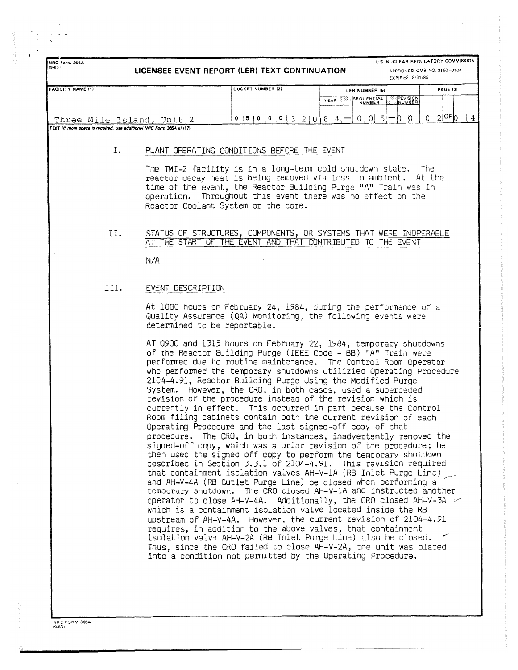| U.S. NUCLEAR REGULATORY COMMISSION<br>NRC Form 366A<br>$(9 - 83)$<br>LICENSEE EVENT REPORT (LER) TEXT CONTINUATION<br>APPROVED OMB NO. 3150-0104<br>EXPIRES: 8/31/85 |                                             |                                                                                                                                                                                                                                                                                                                                                                                                                                                                                                                                                                                                                                                                                                                                                                                                                                                                                                                                                                                                                                                                                                                                                                                                                                                                                                                                                                                                                                                                                                                                                                                                                                              |                                                 |                              |  |  |  |  |  |  |  |
|----------------------------------------------------------------------------------------------------------------------------------------------------------------------|---------------------------------------------|----------------------------------------------------------------------------------------------------------------------------------------------------------------------------------------------------------------------------------------------------------------------------------------------------------------------------------------------------------------------------------------------------------------------------------------------------------------------------------------------------------------------------------------------------------------------------------------------------------------------------------------------------------------------------------------------------------------------------------------------------------------------------------------------------------------------------------------------------------------------------------------------------------------------------------------------------------------------------------------------------------------------------------------------------------------------------------------------------------------------------------------------------------------------------------------------------------------------------------------------------------------------------------------------------------------------------------------------------------------------------------------------------------------------------------------------------------------------------------------------------------------------------------------------------------------------------------------------------------------------------------------------|-------------------------------------------------|------------------------------|--|--|--|--|--|--|--|
| <b>FACILITY NAME (1)</b>                                                                                                                                             |                                             | DOCKET NUMBER (2)                                                                                                                                                                                                                                                                                                                                                                                                                                                                                                                                                                                                                                                                                                                                                                                                                                                                                                                                                                                                                                                                                                                                                                                                                                                                                                                                                                                                                                                                                                                                                                                                                            | LER NUMBER (6)                                  | <b>PAGE (3)</b>              |  |  |  |  |  |  |  |
|                                                                                                                                                                      |                                             |                                                                                                                                                                                                                                                                                                                                                                                                                                                                                                                                                                                                                                                                                                                                                                                                                                                                                                                                                                                                                                                                                                                                                                                                                                                                                                                                                                                                                                                                                                                                                                                                                                              | <b>REVISION</b><br>SEQUENTIAL<br>YEAR<br>NUMBER |                              |  |  |  |  |  |  |  |
| Three Mile Island, Unit 2                                                                                                                                            |                                             | 0  5  0  0  0  3  2  0  8  4                                                                                                                                                                                                                                                                                                                                                                                                                                                                                                                                                                                                                                                                                                                                                                                                                                                                                                                                                                                                                                                                                                                                                                                                                                                                                                                                                                                                                                                                                                                                                                                                                 | 0 0 5 <br>0<br>n.                               | $0 2 $ OF $ 0 $<br>$\vert 4$ |  |  |  |  |  |  |  |
| TEXT (If more space is required, use additional NRC Form 366A's) (17)                                                                                                |                                             |                                                                                                                                                                                                                                                                                                                                                                                                                                                                                                                                                                                                                                                                                                                                                                                                                                                                                                                                                                                                                                                                                                                                                                                                                                                                                                                                                                                                                                                                                                                                                                                                                                              |                                                 |                              |  |  |  |  |  |  |  |
| Ι.                                                                                                                                                                   | PLANT OPERATING CONDITIONS BEFORE THE EVENT |                                                                                                                                                                                                                                                                                                                                                                                                                                                                                                                                                                                                                                                                                                                                                                                                                                                                                                                                                                                                                                                                                                                                                                                                                                                                                                                                                                                                                                                                                                                                                                                                                                              |                                                 |                              |  |  |  |  |  |  |  |
|                                                                                                                                                                      |                                             | The TMI-2 facility is in a long-term cold shutdown state. The<br>reactor decay heat is being removed via loss to ambient. At the<br>time of the event, the Reactor Building Purge "A" Train was in<br>operation. Throughout this event there was no effect on the<br>Reactor Coolant System or the core.                                                                                                                                                                                                                                                                                                                                                                                                                                                                                                                                                                                                                                                                                                                                                                                                                                                                                                                                                                                                                                                                                                                                                                                                                                                                                                                                     |                                                 |                              |  |  |  |  |  |  |  |
| II.                                                                                                                                                                  |                                             | STATUS OF STRUCTURES, COMPONENTS, OR SYSTEMS THAT WERE INOPERABLE<br>AT THE START OF THE EVENT AND THAT CONTRIBUTED TO THE EVENT                                                                                                                                                                                                                                                                                                                                                                                                                                                                                                                                                                                                                                                                                                                                                                                                                                                                                                                                                                                                                                                                                                                                                                                                                                                                                                                                                                                                                                                                                                             |                                                 |                              |  |  |  |  |  |  |  |
|                                                                                                                                                                      | N/A                                         |                                                                                                                                                                                                                                                                                                                                                                                                                                                                                                                                                                                                                                                                                                                                                                                                                                                                                                                                                                                                                                                                                                                                                                                                                                                                                                                                                                                                                                                                                                                                                                                                                                              |                                                 |                              |  |  |  |  |  |  |  |
| III.                                                                                                                                                                 | EVENT DESCRIPTION                           |                                                                                                                                                                                                                                                                                                                                                                                                                                                                                                                                                                                                                                                                                                                                                                                                                                                                                                                                                                                                                                                                                                                                                                                                                                                                                                                                                                                                                                                                                                                                                                                                                                              |                                                 |                              |  |  |  |  |  |  |  |
|                                                                                                                                                                      | determined to be reportable.                | At 1000 hours on February 24, 1984, during the performance of a<br>Quality Assurance (QA) Monitoring, the following events were                                                                                                                                                                                                                                                                                                                                                                                                                                                                                                                                                                                                                                                                                                                                                                                                                                                                                                                                                                                                                                                                                                                                                                                                                                                                                                                                                                                                                                                                                                              |                                                 |                              |  |  |  |  |  |  |  |
|                                                                                                                                                                      |                                             | AT 0900 and 1315 hours on February 22, 1984, temporary shutdowns<br>of the Reactor Building Purge (IEEE Code - BB) "A" Train were<br>performed due to routine maintenance. The Control Room Operator<br>who performed the temporary shutdowns utilizied Operating Procedure<br>2104-4.91, Reactor Building Purge Using the Modified Purge<br>System. However, the CRO, in both cases, used a superceded<br>revision of the procedure instead of the revision which is<br>currently in effect. This occurred in part because the Control<br>Room filing cabinets contain both the current revision of each<br>Operating Procedure and the last signed-off copy of that<br>procedure. The CRO, in both instances, inadvertently removed the<br>signed-off copy, which was a prior revision of the procedure; he<br>then used the signed off copy to perform the temporary shutdown<br>described in Section 3.3.1 of 2104-4.91. This revision required<br>that containment isolation valves AH-V-1A (RB Inlet Purge Line)<br>and AH-V-4A (RB Outlet Purge Line) be closed when performing a<br>temporary shutdown. The CRO closed AH-Y-1A and instructed another<br>operator to close AH-V-4A. Additionally, the CRO closed AH-V-3A $\sim$<br>which is a containment isolation valve located inside the RB<br>upstream of AH-V-4A. However, the current revision of 2104-4.91<br>requires, in addition to the above valves, that containment<br>isolation valve AH-V-2A (RB Inlet Purge Line) also be closed.<br>Thus, since the CRO failed to close AH-V-2A, the unit was placed<br>into a condition not permitted by the Operating Procedure. |                                                 |                              |  |  |  |  |  |  |  |

NAC FORM 3664

..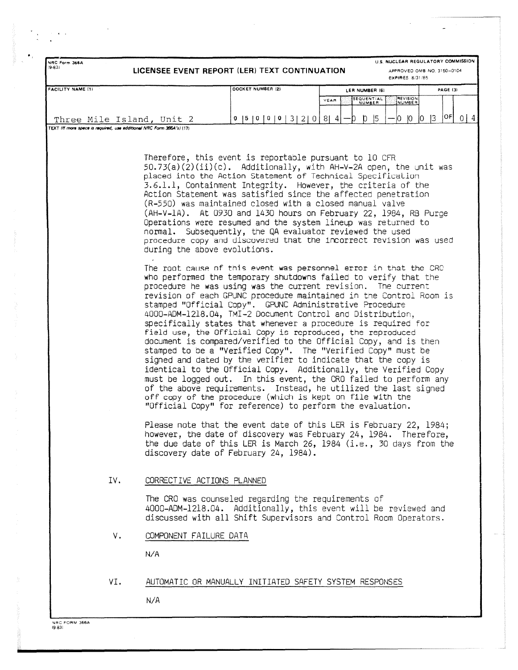| U.S. NUCLEAR REGULATORY COMMISSION<br>NRC Form 366A<br>$(9-83)$<br>LICENSEE EVENT REPORT (LER) TEXT CONTINUATION<br>APPROVED OMB NO. 3150-0104<br>EXPIRES, 8/31/85 |                              |                                                                                                                                                                                   |                                                                                                                                                                                                                                                                                                                                                                                                                                                                                                                                                                                                                                                                                                                                                                                                                                                                                                                                                           |                           |  |  |  |  |  |
|--------------------------------------------------------------------------------------------------------------------------------------------------------------------|------------------------------|-----------------------------------------------------------------------------------------------------------------------------------------------------------------------------------|-----------------------------------------------------------------------------------------------------------------------------------------------------------------------------------------------------------------------------------------------------------------------------------------------------------------------------------------------------------------------------------------------------------------------------------------------------------------------------------------------------------------------------------------------------------------------------------------------------------------------------------------------------------------------------------------------------------------------------------------------------------------------------------------------------------------------------------------------------------------------------------------------------------------------------------------------------------|---------------------------|--|--|--|--|--|
| FACILITY NAME (1)                                                                                                                                                  |                              | DOCKET NUMBER (2)                                                                                                                                                                 | LER NUMBER (6)                                                                                                                                                                                                                                                                                                                                                                                                                                                                                                                                                                                                                                                                                                                                                                                                                                                                                                                                            | PAGE (3)                  |  |  |  |  |  |
|                                                                                                                                                                    |                              |                                                                                                                                                                                   | SEQUENTIAL<br>REVISION<br>YEAR<br>NUMBER<br>NUMBER                                                                                                                                                                                                                                                                                                                                                                                                                                                                                                                                                                                                                                                                                                                                                                                                                                                                                                        |                           |  |  |  |  |  |
| Three Mile Island, Unit 2                                                                                                                                          |                              | 0  5  0  0  0  3  2  0                                                                                                                                                            | 5 <br> 8 4 <br>D.<br>Ю.<br>$10^{-1}$<br>Ð                                                                                                                                                                                                                                                                                                                                                                                                                                                                                                                                                                                                                                                                                                                                                                                                                                                                                                                 | OF]<br>0 4 <br> 3 <br>10. |  |  |  |  |  |
| TEXT (If more space is required, use additional NRC Form 366A's) (17)                                                                                              |                              |                                                                                                                                                                                   |                                                                                                                                                                                                                                                                                                                                                                                                                                                                                                                                                                                                                                                                                                                                                                                                                                                                                                                                                           |                           |  |  |  |  |  |
|                                                                                                                                                                    | during the above evolutions. | Therefore, this event is reportable pursuant to 10 CFR<br>(R-550) was maintained closed with a closed manual valve<br>normal. Subsequently, the QA evaluator reviewed the used    | $50.73(a)(2)(ii)(c)$ . Additionally, with AH-V-2A open, the unit was<br>placed into the Action Statement of Technical Specification<br>3.6.1.1, Containment Integrity. However, the criteria of the<br>Action Statement was satisfied since the affected penetration<br>(AH-V-1A). At 0930 and 1430 hours on February 22, 1984, RB Purge<br>Operations were resumed and the system lineup was returned to<br>procedure copy and discovered that the incorrect revision was used                                                                                                                                                                                                                                                                                                                                                                                                                                                                           |                           |  |  |  |  |  |
|                                                                                                                                                                    |                              | stamped "Official Copy". GPUNC Administrative Procedure<br>off copy of the procedure (which is kept on file with the<br>"Official Copy" for reference) to perform the evaluation. | The root cause of this event was personnel error in that the CRO<br>who performed the temporary shutdowns failed to verify that the<br>procedure he was using was the current revision. The current<br>revision of each GPUNC procedure maintained in the Control Room is<br>4000-ADM-1218.04, TMI-2 Document Control and Distribution,<br>specifically states that whenever a procedure is required for<br>field use, the Official Copy is reproduced, the reproduced<br>document is compared/verified to the Official Copy, and is then<br>stamped to be a "Verified Copy". The "Verified Copy" must be<br>signed and dated by the verifier to indicate that the copy is<br>identical to the Official Copy. Additionally, the Verified Copy<br>must be logged out. In this event, the CRO failed to perform any<br>of the above requirements. Instead, he utilized the last signed<br>Please note that the event date of this LER is February 22, 1984; |                           |  |  |  |  |  |
|                                                                                                                                                                    |                              | discovery date of February 24, 1984).                                                                                                                                             | however, the date of discovery was February 24, 1984. Therefore,<br>the due date of this LER is March 26, $1984$ (i.e., 30 days from the                                                                                                                                                                                                                                                                                                                                                                                                                                                                                                                                                                                                                                                                                                                                                                                                                  |                           |  |  |  |  |  |
| IV.                                                                                                                                                                | CORRECTIVE ACTIONS PLANNED   |                                                                                                                                                                                   |                                                                                                                                                                                                                                                                                                                                                                                                                                                                                                                                                                                                                                                                                                                                                                                                                                                                                                                                                           |                           |  |  |  |  |  |
|                                                                                                                                                                    |                              | The CRO was counseled regarding the requirements of                                                                                                                               | 4000-ADM-1218.04. Additionally, this event will be reviewed and<br>discussed with all Shift Supervisors and Control Room Operators.                                                                                                                                                                                                                                                                                                                                                                                                                                                                                                                                                                                                                                                                                                                                                                                                                       |                           |  |  |  |  |  |
| ν.                                                                                                                                                                 | COMPONENT FAILURE DATA       |                                                                                                                                                                                   |                                                                                                                                                                                                                                                                                                                                                                                                                                                                                                                                                                                                                                                                                                                                                                                                                                                                                                                                                           |                           |  |  |  |  |  |
|                                                                                                                                                                    | N/A                          |                                                                                                                                                                                   |                                                                                                                                                                                                                                                                                                                                                                                                                                                                                                                                                                                                                                                                                                                                                                                                                                                                                                                                                           |                           |  |  |  |  |  |
| VI.                                                                                                                                                                |                              | AUTOMATIC OR MANUALLY INITIATED SAFETY SYSTEM RESPONSES                                                                                                                           |                                                                                                                                                                                                                                                                                                                                                                                                                                                                                                                                                                                                                                                                                                                                                                                                                                                                                                                                                           |                           |  |  |  |  |  |
|                                                                                                                                                                    | N/A                          |                                                                                                                                                                                   |                                                                                                                                                                                                                                                                                                                                                                                                                                                                                                                                                                                                                                                                                                                                                                                                                                                                                                                                                           |                           |  |  |  |  |  |

NRC FORM 366A<br>(9-83)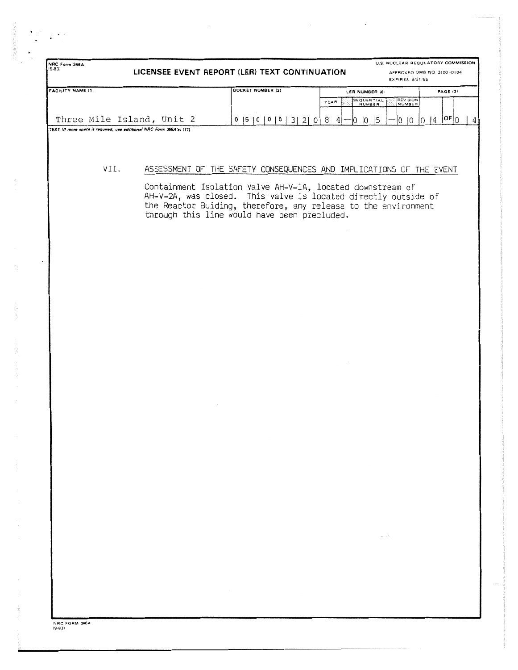| NRC Form 366A<br>$(6-8)$                                              | LICENSEE EVENT REPORT (LER) TEXT CONTINUATION                                                                                                                                                                                                  |                   |                                        |      |    |                      |              | EXPIRES. 8/31/85   | U.S. NUCLEAR REGULATORY COMMISSION<br>APPROVED OMB NO. 3150-0104 |          |  |
|-----------------------------------------------------------------------|------------------------------------------------------------------------------------------------------------------------------------------------------------------------------------------------------------------------------------------------|-------------------|----------------------------------------|------|----|----------------------|--------------|--------------------|------------------------------------------------------------------|----------|--|
| <b>FACILITY NAME (1)</b>                                              |                                                                                                                                                                                                                                                | DOCKET NUMBER (2) |                                        |      |    | LER NUMBER (6)       |              |                    |                                                                  | PAGE (3) |  |
|                                                                       |                                                                                                                                                                                                                                                |                   |                                        | YEAR |    | SEQUENTIAL<br>NUMBER |              | REVISION<br>NUMBER |                                                                  |          |  |
|                                                                       |                                                                                                                                                                                                                                                |                   |                                        |      |    |                      |              |                    |                                                                  |          |  |
| Three Mile Island, Unit 2                                             |                                                                                                                                                                                                                                                |                   | $0$  5   0   0   0   3   2   0   8   4 |      | Ю. | $ 0 $ 5              |              | O   O              | $ 0 4 $ $ 0 0 $                                                  |          |  |
| TEXT (If more space is required, use additional NRC Form 366A's) (17) |                                                                                                                                                                                                                                                |                   |                                        |      |    |                      |              |                    |                                                                  |          |  |
| VII.                                                                  |                                                                                                                                                                                                                                                |                   |                                        |      |    |                      |              |                    |                                                                  |          |  |
|                                                                       | ASSESSMENT OF THE SAFETY CONSEQUENCES AND IMPLICATIONS OF THE EVENT                                                                                                                                                                            |                   |                                        |      |    |                      |              |                    |                                                                  |          |  |
|                                                                       | Containment Isolation Valve AH-V-1A, located downstream of<br>AH-V-2A, was closed. This valve is located directly outside of<br>the Reactor Buiding, therefore, any release to the environment<br>through this line would have been precluded. |                   |                                        |      |    |                      |              |                    |                                                                  |          |  |
|                                                                       |                                                                                                                                                                                                                                                |                   |                                        |      |    |                      |              |                    |                                                                  |          |  |
|                                                                       |                                                                                                                                                                                                                                                |                   |                                        |      |    |                      |              |                    |                                                                  |          |  |
|                                                                       |                                                                                                                                                                                                                                                |                   |                                        |      |    |                      |              |                    |                                                                  |          |  |
|                                                                       |                                                                                                                                                                                                                                                |                   |                                        |      |    |                      |              |                    |                                                                  |          |  |
|                                                                       |                                                                                                                                                                                                                                                |                   |                                        |      |    |                      |              |                    |                                                                  |          |  |
|                                                                       |                                                                                                                                                                                                                                                |                   |                                        |      |    |                      |              |                    |                                                                  |          |  |
|                                                                       |                                                                                                                                                                                                                                                |                   |                                        |      |    |                      |              |                    |                                                                  |          |  |
|                                                                       |                                                                                                                                                                                                                                                |                   |                                        |      |    |                      |              |                    |                                                                  |          |  |
|                                                                       |                                                                                                                                                                                                                                                |                   |                                        |      |    |                      |              |                    |                                                                  |          |  |
|                                                                       |                                                                                                                                                                                                                                                |                   |                                        |      |    |                      |              |                    |                                                                  |          |  |
|                                                                       |                                                                                                                                                                                                                                                |                   |                                        |      |    |                      |              |                    |                                                                  |          |  |
|                                                                       |                                                                                                                                                                                                                                                |                   |                                        |      |    |                      |              |                    |                                                                  |          |  |
|                                                                       |                                                                                                                                                                                                                                                |                   |                                        |      |    |                      |              |                    |                                                                  |          |  |
|                                                                       |                                                                                                                                                                                                                                                |                   |                                        |      |    |                      |              |                    |                                                                  |          |  |
|                                                                       |                                                                                                                                                                                                                                                |                   |                                        |      |    |                      |              |                    |                                                                  |          |  |
|                                                                       |                                                                                                                                                                                                                                                |                   |                                        |      |    |                      |              |                    |                                                                  |          |  |
|                                                                       |                                                                                                                                                                                                                                                |                   |                                        |      |    |                      |              |                    |                                                                  |          |  |
|                                                                       |                                                                                                                                                                                                                                                |                   |                                        |      |    |                      |              |                    |                                                                  |          |  |
|                                                                       |                                                                                                                                                                                                                                                |                   |                                        |      |    |                      | $\alpha = 1$ |                    |                                                                  |          |  |
|                                                                       |                                                                                                                                                                                                                                                |                   |                                        |      |    |                      |              |                    |                                                                  |          |  |
|                                                                       |                                                                                                                                                                                                                                                |                   |                                        |      |    |                      |              |                    |                                                                  |          |  |
|                                                                       |                                                                                                                                                                                                                                                |                   |                                        |      |    |                      |              |                    |                                                                  |          |  |
|                                                                       |                                                                                                                                                                                                                                                | $\sim$ $\sim$     |                                        |      |    |                      |              |                    |                                                                  |          |  |
|                                                                       |                                                                                                                                                                                                                                                |                   |                                        |      |    |                      |              |                    |                                                                  |          |  |

 $\mathbb{Z}^{\times}$ 

 $\ddot{\phantom{0}}$